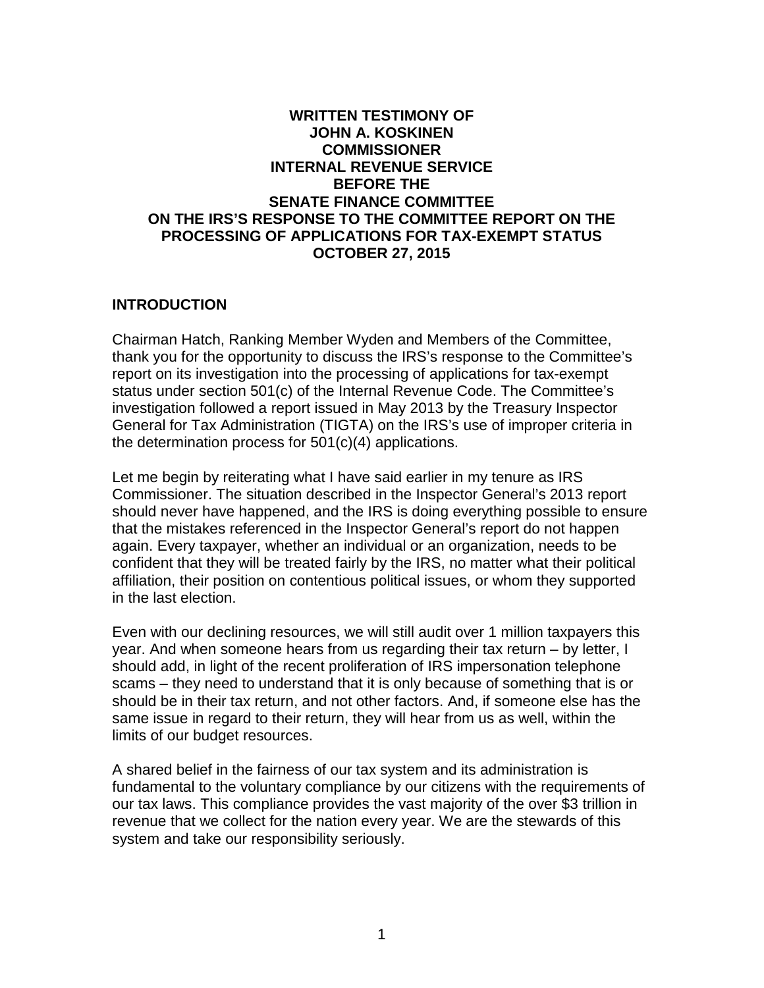### **WRITTEN TESTIMONY OF JOHN A. KOSKINEN COMMISSIONER INTERNAL REVENUE SERVICE BEFORE THE SENATE FINANCE COMMITTEE ON THE IRS'S RESPONSE TO THE COMMITTEE REPORT ON THE PROCESSING OF APPLICATIONS FOR TAX-EXEMPT STATUS OCTOBER 27, 2015**

#### **INTRODUCTION**

Chairman Hatch, Ranking Member Wyden and Members of the Committee, thank you for the opportunity to discuss the IRS's response to the Committee's report on its investigation into the processing of applications for tax-exempt status under section 501(c) of the Internal Revenue Code. The Committee's investigation followed a report issued in May 2013 by the Treasury Inspector General for Tax Administration (TIGTA) on the IRS's use of improper criteria in the determination process for 501(c)(4) applications.

Let me begin by reiterating what I have said earlier in my tenure as IRS Commissioner. The situation described in the Inspector General's 2013 report should never have happened, and the IRS is doing everything possible to ensure that the mistakes referenced in the Inspector General's report do not happen again. Every taxpayer, whether an individual or an organization, needs to be confident that they will be treated fairly by the IRS, no matter what their political affiliation, their position on contentious political issues, or whom they supported in the last election.

Even with our declining resources, we will still audit over 1 million taxpayers this year. And when someone hears from us regarding their tax return – by letter, I should add, in light of the recent proliferation of IRS impersonation telephone scams – they need to understand that it is only because of something that is or should be in their tax return, and not other factors. And, if someone else has the same issue in regard to their return, they will hear from us as well, within the limits of our budget resources.

A shared belief in the fairness of our tax system and its administration is fundamental to the voluntary compliance by our citizens with the requirements of our tax laws. This compliance provides the vast majority of the over \$3 trillion in revenue that we collect for the nation every year. We are the stewards of this system and take our responsibility seriously.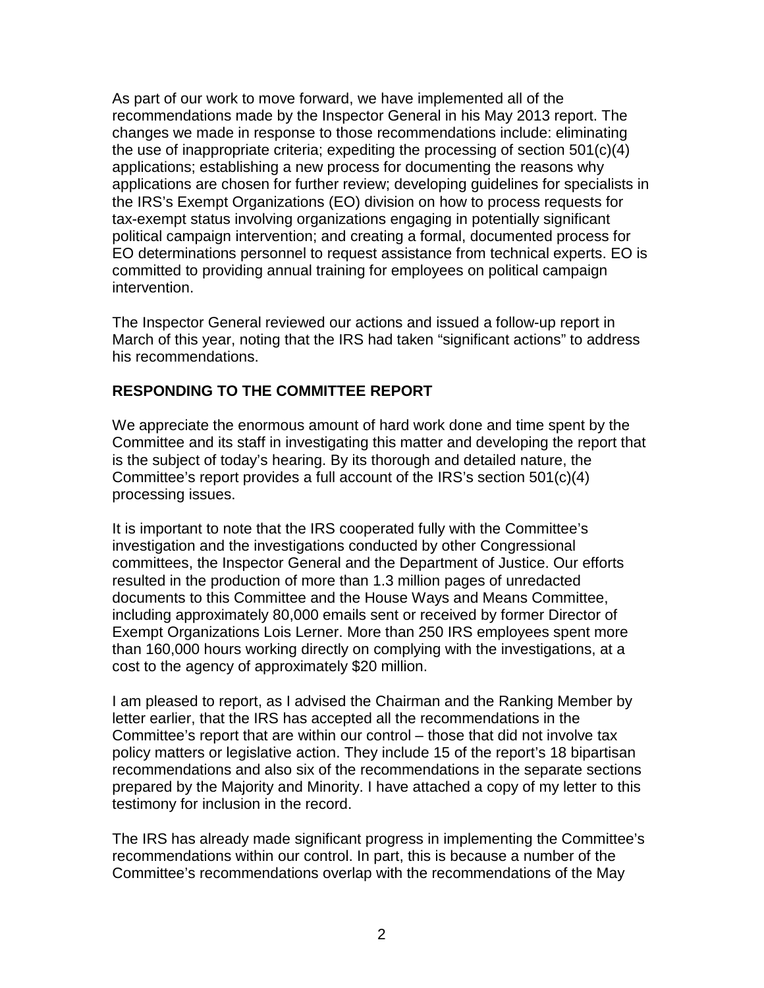As part of our work to move forward, we have implemented all of the recommendations made by the Inspector General in his May 2013 report. The changes we made in response to those recommendations include: eliminating the use of inappropriate criteria; expediting the processing of section 501(c)(4) applications; establishing a new process for documenting the reasons why applications are chosen for further review; developing guidelines for specialists in the IRS's Exempt Organizations (EO) division on how to process requests for tax-exempt status involving organizations engaging in potentially significant political campaign intervention; and creating a formal, documented process for EO determinations personnel to request assistance from technical experts. EO is committed to providing annual training for employees on political campaign intervention.

The Inspector General reviewed our actions and issued a follow-up report in March of this year, noting that the IRS had taken "significant actions" to address his recommendations.

# **RESPONDING TO THE COMMITTEE REPORT**

We appreciate the enormous amount of hard work done and time spent by the Committee and its staff in investigating this matter and developing the report that is the subject of today's hearing. By its thorough and detailed nature, the Committee's report provides a full account of the IRS's section 501(c)(4) processing issues.

It is important to note that the IRS cooperated fully with the Committee's investigation and the investigations conducted by other Congressional committees, the Inspector General and the Department of Justice. Our efforts resulted in the production of more than 1.3 million pages of unredacted documents to this Committee and the House Ways and Means Committee, including approximately 80,000 emails sent or received by former Director of Exempt Organizations Lois Lerner. More than 250 IRS employees spent more than 160,000 hours working directly on complying with the investigations, at a cost to the agency of approximately \$20 million.

I am pleased to report, as I advised the Chairman and the Ranking Member by letter earlier, that the IRS has accepted all the recommendations in the Committee's report that are within our control – those that did not involve tax policy matters or legislative action. They include 15 of the report's 18 bipartisan recommendations and also six of the recommendations in the separate sections prepared by the Majority and Minority. I have attached a copy of my letter to this testimony for inclusion in the record.

The IRS has already made significant progress in implementing the Committee's recommendations within our control. In part, this is because a number of the Committee's recommendations overlap with the recommendations of the May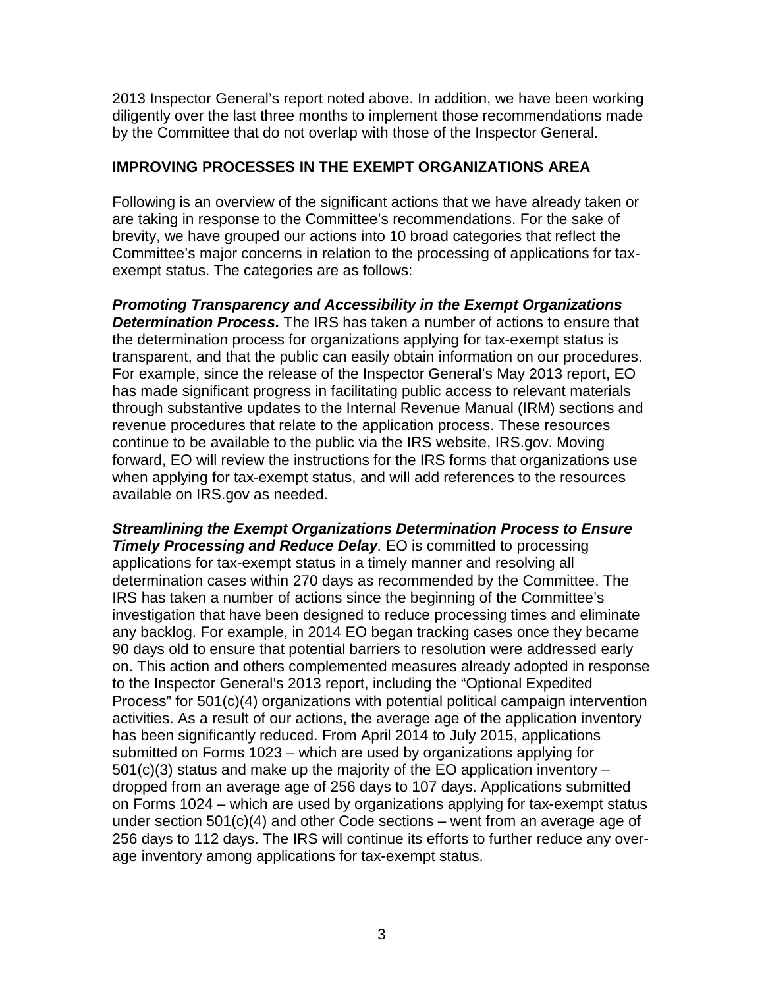2013 Inspector General's report noted above. In addition, we have been working diligently over the last three months to implement those recommendations made by the Committee that do not overlap with those of the Inspector General.

### **IMPROVING PROCESSES IN THE EXEMPT ORGANIZATIONS AREA**

Following is an overview of the significant actions that we have already taken or are taking in response to the Committee's recommendations. For the sake of brevity, we have grouped our actions into 10 broad categories that reflect the Committee's major concerns in relation to the processing of applications for taxexempt status. The categories are as follows:

*Promoting Transparency and Accessibility in the Exempt Organizations Determination Process.* The IRS has taken a number of actions to ensure that the determination process for organizations applying for tax-exempt status is transparent, and that the public can easily obtain information on our procedures. For example, since the release of the Inspector General's May 2013 report, EO has made significant progress in facilitating public access to relevant materials through substantive updates to the Internal Revenue Manual (IRM) sections and revenue procedures that relate to the application process. These resources continue to be available to the public via the IRS website, IRS.gov. Moving forward, EO will review the instructions for the IRS forms that organizations use when applying for tax-exempt status, and will add references to the resources available on IRS.gov as needed.

*Streamlining the Exempt Organizations Determination Process to Ensure Timely Processing and Reduce Delay.* EO is committed to processing applications for tax-exempt status in a timely manner and resolving all determination cases within 270 days as recommended by the Committee. The IRS has taken a number of actions since the beginning of the Committee's investigation that have been designed to reduce processing times and eliminate any backlog. For example, in 2014 EO began tracking cases once they became 90 days old to ensure that potential barriers to resolution were addressed early on. This action and others complemented measures already adopted in response to the Inspector General's 2013 report, including the "Optional Expedited Process" for 501(c)(4) organizations with potential political campaign intervention activities. As a result of our actions, the average age of the application inventory has been significantly reduced. From April 2014 to July 2015, applications submitted on Forms 1023 – which are used by organizations applying for  $501(c)(3)$  status and make up the majority of the EO application inventory – dropped from an average age of 256 days to 107 days. Applications submitted on Forms 1024 – which are used by organizations applying for tax-exempt status under section 501(c)(4) and other Code sections – went from an average age of 256 days to 112 days. The IRS will continue its efforts to further reduce any overage inventory among applications for tax-exempt status.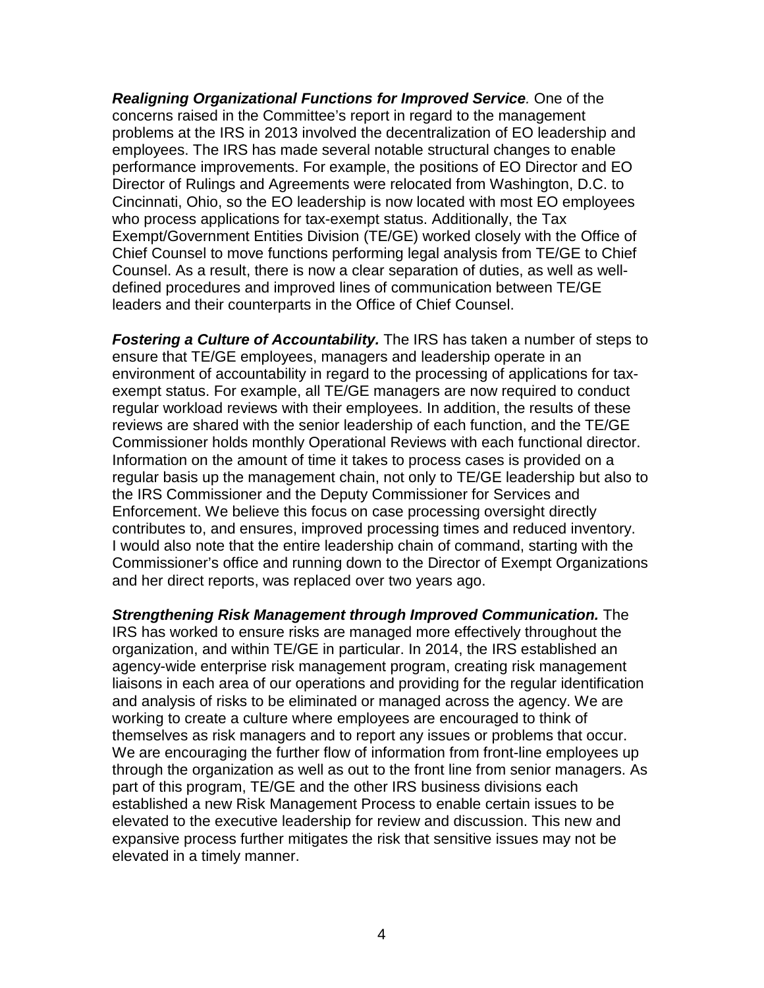*Realigning Organizational Functions for Improved Service.* One of the concerns raised in the Committee's report in regard to the management problems at the IRS in 2013 involved the decentralization of EO leadership and employees. The IRS has made several notable structural changes to enable performance improvements. For example, the positions of EO Director and EO Director of Rulings and Agreements were relocated from Washington, D.C. to Cincinnati, Ohio, so the EO leadership is now located with most EO employees who process applications for tax-exempt status. Additionally, the Tax Exempt/Government Entities Division (TE/GE) worked closely with the Office of Chief Counsel to move functions performing legal analysis from TE/GE to Chief Counsel. As a result, there is now a clear separation of duties, as well as welldefined procedures and improved lines of communication between TE/GE leaders and their counterparts in the Office of Chief Counsel.

*Fostering a Culture of Accountability.* The IRS has taken a number of steps to ensure that TE/GE employees, managers and leadership operate in an environment of accountability in regard to the processing of applications for taxexempt status. For example, all TE/GE managers are now required to conduct regular workload reviews with their employees. In addition, the results of these reviews are shared with the senior leadership of each function, and the TE/GE Commissioner holds monthly Operational Reviews with each functional director. Information on the amount of time it takes to process cases is provided on a regular basis up the management chain, not only to TE/GE leadership but also to the IRS Commissioner and the Deputy Commissioner for Services and Enforcement. We believe this focus on case processing oversight directly contributes to, and ensures, improved processing times and reduced inventory. I would also note that the entire leadership chain of command, starting with the Commissioner's office and running down to the Director of Exempt Organizations and her direct reports, was replaced over two years ago.

*Strengthening Risk Management through Improved Communication.* The IRS has worked to ensure risks are managed more effectively throughout the organization, and within TE/GE in particular. In 2014, the IRS established an agency-wide enterprise risk management program, creating risk management liaisons in each area of our operations and providing for the regular identification and analysis of risks to be eliminated or managed across the agency. We are working to create a culture where employees are encouraged to think of themselves as risk managers and to report any issues or problems that occur. We are encouraging the further flow of information from front-line employees up through the organization as well as out to the front line from senior managers. As part of this program, TE/GE and the other IRS business divisions each established a new Risk Management Process to enable certain issues to be elevated to the executive leadership for review and discussion. This new and expansive process further mitigates the risk that sensitive issues may not be elevated in a timely manner.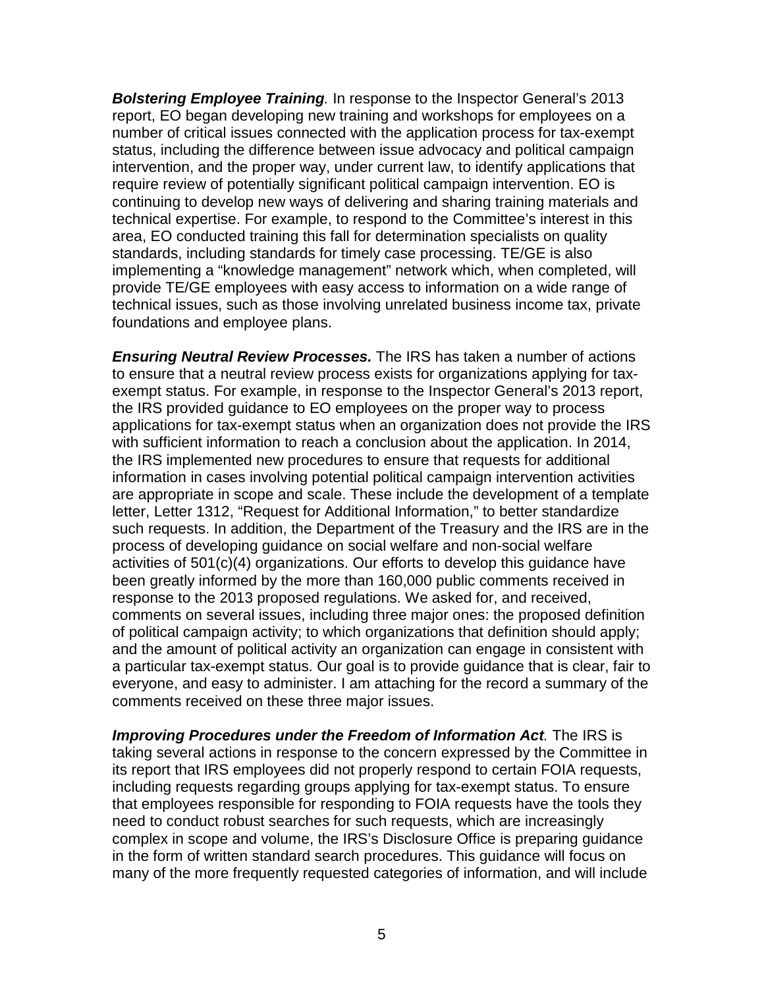*Bolstering Employee Training.* In response to the Inspector General's 2013 report, EO began developing new training and workshops for employees on a number of critical issues connected with the application process for tax-exempt status, including the difference between issue advocacy and political campaign intervention, and the proper way, under current law, to identify applications that require review of potentially significant political campaign intervention. EO is continuing to develop new ways of delivering and sharing training materials and technical expertise. For example, to respond to the Committee's interest in this area, EO conducted training this fall for determination specialists on quality standards, including standards for timely case processing. TE/GE is also implementing a "knowledge management" network which, when completed, will provide TE/GE employees with easy access to information on a wide range of technical issues, such as those involving unrelated business income tax, private foundations and employee plans.

*Ensuring Neutral Review Processes.* The IRS has taken a number of actions to ensure that a neutral review process exists for organizations applying for taxexempt status. For example, in response to the Inspector General's 2013 report, the IRS provided guidance to EO employees on the proper way to process applications for tax-exempt status when an organization does not provide the IRS with sufficient information to reach a conclusion about the application. In 2014, the IRS implemented new procedures to ensure that requests for additional information in cases involving potential political campaign intervention activities are appropriate in scope and scale. These include the development of a template letter, Letter 1312, "Request for Additional Information," to better standardize such requests. In addition, the Department of the Treasury and the IRS are in the process of developing guidance on social welfare and non-social welfare activities of 501(c)(4) organizations. Our efforts to develop this guidance have been greatly informed by the more than 160,000 public comments received in response to the 2013 proposed regulations. We asked for, and received, comments on several issues, including three major ones: the proposed definition of political campaign activity; to which organizations that definition should apply; and the amount of political activity an organization can engage in consistent with a particular tax-exempt status. Our goal is to provide guidance that is clear, fair to everyone, and easy to administer. I am attaching for the record a summary of the comments received on these three major issues.

*Improving Procedures under the Freedom of Information Act.* The IRS is taking several actions in response to the concern expressed by the Committee in its report that IRS employees did not properly respond to certain FOIA requests, including requests regarding groups applying for tax-exempt status. To ensure that employees responsible for responding to FOIA requests have the tools they need to conduct robust searches for such requests, which are increasingly complex in scope and volume, the IRS's Disclosure Office is preparing guidance in the form of written standard search procedures. This guidance will focus on many of the more frequently requested categories of information, and will include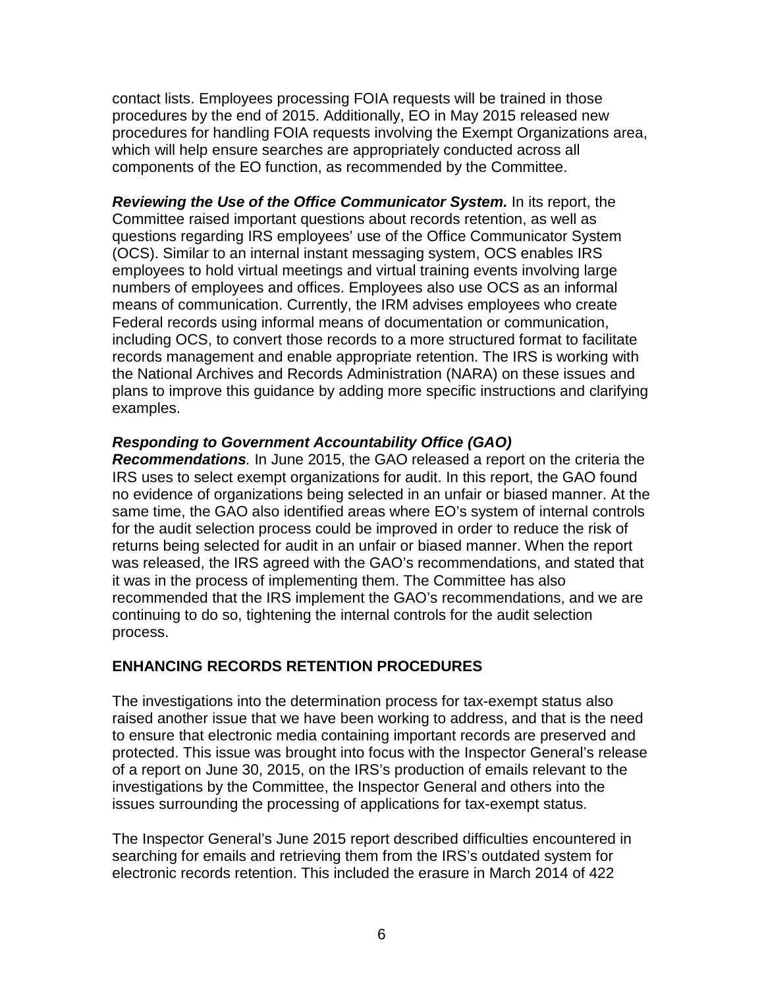contact lists. Employees processing FOIA requests will be trained in those procedures by the end of 2015. Additionally, EO in May 2015 released new procedures for handling FOIA requests involving the Exempt Organizations area, which will help ensure searches are appropriately conducted across all components of the EO function, as recommended by the Committee.

*Reviewing the Use of the Office Communicator System.* In its report, the Committee raised important questions about records retention, as well as questions regarding IRS employees' use of the Office Communicator System (OCS). Similar to an internal instant messaging system, OCS enables IRS employees to hold virtual meetings and virtual training events involving large numbers of employees and offices. Employees also use OCS as an informal means of communication. Currently, the IRM advises employees who create Federal records using informal means of documentation or communication, including OCS, to convert those records to a more structured format to facilitate records management and enable appropriate retention. The IRS is working with the National Archives and Records Administration (NARA) on these issues and plans to improve this guidance by adding more specific instructions and clarifying examples.

### *Responding to Government Accountability Office (GAO)*

*Recommendations.* In June 2015, the GAO released a report on the criteria the IRS uses to select exempt organizations for audit. In this report, the GAO found no evidence of organizations being selected in an unfair or biased manner. At the same time, the GAO also identified areas where EO's system of internal controls for the audit selection process could be improved in order to reduce the risk of returns being selected for audit in an unfair or biased manner. When the report was released, the IRS agreed with the GAO's recommendations, and stated that it was in the process of implementing them. The Committee has also recommended that the IRS implement the GAO's recommendations, and we are continuing to do so, tightening the internal controls for the audit selection process.

#### **ENHANCING RECORDS RETENTION PROCEDURES**

The investigations into the determination process for tax-exempt status also raised another issue that we have been working to address, and that is the need to ensure that electronic media containing important records are preserved and protected. This issue was brought into focus with the Inspector General's release of a report on June 30, 2015, on the IRS's production of emails relevant to the investigations by the Committee, the Inspector General and others into the issues surrounding the processing of applications for tax-exempt status.

The Inspector General's June 2015 report described difficulties encountered in searching for emails and retrieving them from the IRS's outdated system for electronic records retention. This included the erasure in March 2014 of 422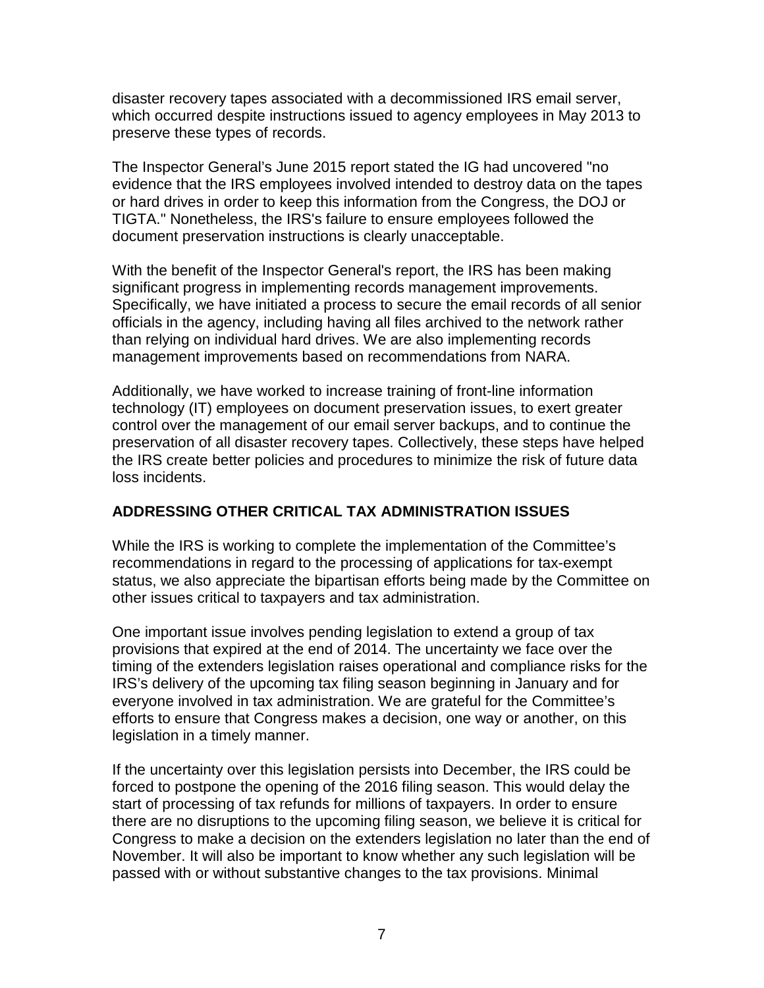disaster recovery tapes associated with a decommissioned IRS email server, which occurred despite instructions issued to agency employees in May 2013 to preserve these types of records.

The Inspector General's June 2015 report stated the IG had uncovered "no evidence that the IRS employees involved intended to destroy data on the tapes or hard drives in order to keep this information from the Congress, the DOJ or TIGTA." Nonetheless, the IRS's failure to ensure employees followed the document preservation instructions is clearly unacceptable.

With the benefit of the Inspector General's report, the IRS has been making significant progress in implementing records management improvements. Specifically, we have initiated a process to secure the email records of all senior officials in the agency, including having all files archived to the network rather than relying on individual hard drives. We are also implementing records management improvements based on recommendations from NARA.

Additionally, we have worked to increase training of front-line information technology (IT) employees on document preservation issues, to exert greater control over the management of our email server backups, and to continue the preservation of all disaster recovery tapes. Collectively, these steps have helped the IRS create better policies and procedures to minimize the risk of future data loss incidents.

# **ADDRESSING OTHER CRITICAL TAX ADMINISTRATION ISSUES**

While the IRS is working to complete the implementation of the Committee's recommendations in regard to the processing of applications for tax-exempt status, we also appreciate the bipartisan efforts being made by the Committee on other issues critical to taxpayers and tax administration.

One important issue involves pending legislation to extend a group of tax provisions that expired at the end of 2014. The uncertainty we face over the timing of the extenders legislation raises operational and compliance risks for the IRS's delivery of the upcoming tax filing season beginning in January and for everyone involved in tax administration. We are grateful for the Committee's efforts to ensure that Congress makes a decision, one way or another, on this legislation in a timely manner.

If the uncertainty over this legislation persists into December, the IRS could be forced to postpone the opening of the 2016 filing season. This would delay the start of processing of tax refunds for millions of taxpayers. In order to ensure there are no disruptions to the upcoming filing season, we believe it is critical for Congress to make a decision on the extenders legislation no later than the end of November. It will also be important to know whether any such legislation will be passed with or without substantive changes to the tax provisions. Minimal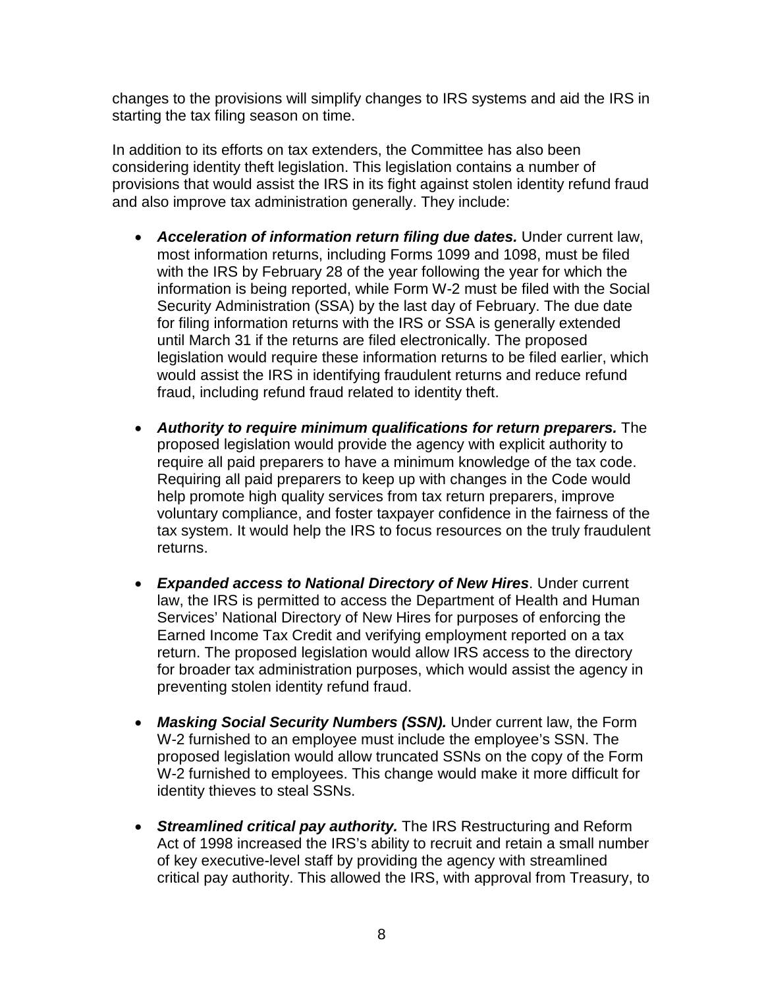changes to the provisions will simplify changes to IRS systems and aid the IRS in starting the tax filing season on time.

In addition to its efforts on tax extenders, the Committee has also been considering identity theft legislation. This legislation contains a number of provisions that would assist the IRS in its fight against stolen identity refund fraud and also improve tax administration generally. They include:

- *Acceleration of information return filing due dates.* Under current law, most information returns, including Forms 1099 and 1098, must be filed with the IRS by February 28 of the year following the year for which the information is being reported, while Form W-2 must be filed with the Social Security Administration (SSA) by the last day of February. The due date for filing information returns with the IRS or SSA is generally extended until March 31 if the returns are filed electronically. The proposed legislation would require these information returns to be filed earlier, which would assist the IRS in identifying fraudulent returns and reduce refund fraud, including refund fraud related to identity theft.
- *Authority to require minimum qualifications for return preparers.* The proposed legislation would provide the agency with explicit authority to require all paid preparers to have a minimum knowledge of the tax code. Requiring all paid preparers to keep up with changes in the Code would help promote high quality services from tax return preparers, improve voluntary compliance, and foster taxpayer confidence in the fairness of the tax system. It would help the IRS to focus resources on the truly fraudulent returns.
- *Expanded access to National Directory of New Hires*. Under current law, the IRS is permitted to access the Department of Health and Human Services' National Directory of New Hires for purposes of enforcing the Earned Income Tax Credit and verifying employment reported on a tax return. The proposed legislation would allow IRS access to the directory for broader tax administration purposes, which would assist the agency in preventing stolen identity refund fraud.
- *Masking Social Security Numbers (SSN).* Under current law, the Form W-2 furnished to an employee must include the employee's SSN. The proposed legislation would allow truncated SSNs on the copy of the Form W-2 furnished to employees. This change would make it more difficult for identity thieves to steal SSNs.
- *Streamlined critical pay authority.* The IRS Restructuring and Reform Act of 1998 increased the IRS's ability to recruit and retain a small number of key executive-level staff by providing the agency with streamlined critical pay authority. This allowed the IRS, with approval from Treasury, to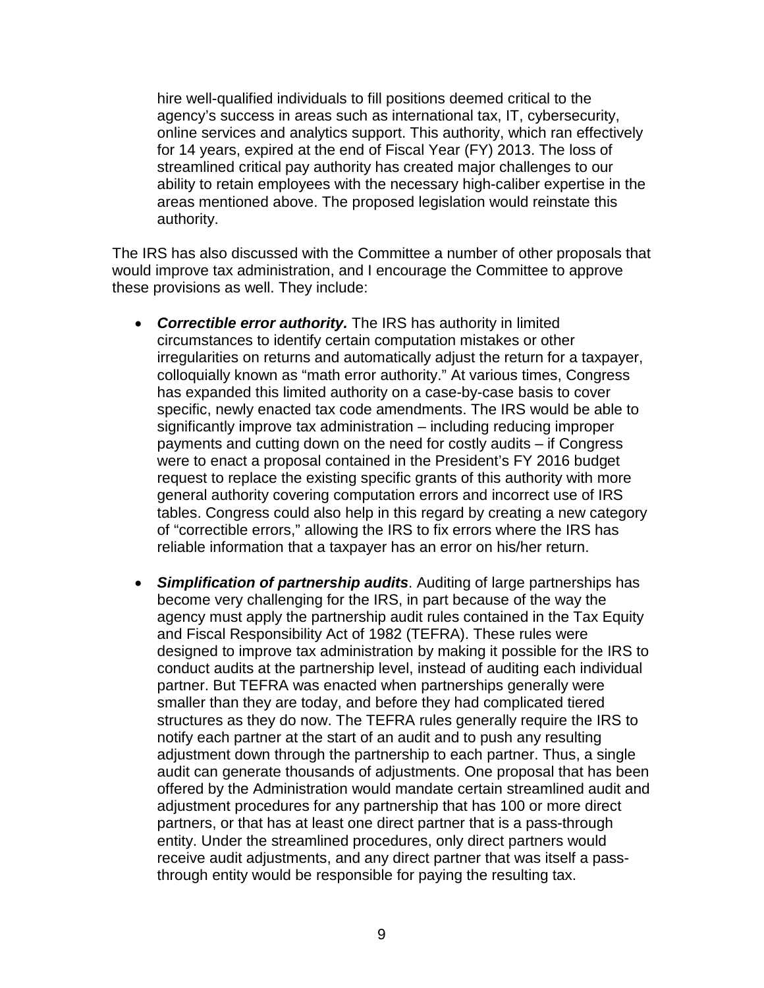hire well-qualified individuals to fill positions deemed critical to the agency's success in areas such as international tax, IT, cybersecurity, online services and analytics support. This authority, which ran effectively for 14 years, expired at the end of Fiscal Year (FY) 2013. The loss of streamlined critical pay authority has created major challenges to our ability to retain employees with the necessary high-caliber expertise in the areas mentioned above. The proposed legislation would reinstate this authority.

The IRS has also discussed with the Committee a number of other proposals that would improve tax administration, and I encourage the Committee to approve these provisions as well. They include:

- *Correctible error authority.* The IRS has authority in limited circumstances to identify certain computation mistakes or other irregularities on returns and automatically adjust the return for a taxpayer, colloquially known as "math error authority." At various times, Congress has expanded this limited authority on a case-by-case basis to cover specific, newly enacted tax code amendments. The IRS would be able to significantly improve tax administration – including reducing improper payments and cutting down on the need for costly audits – if Congress were to enact a proposal contained in the President's FY 2016 budget request to replace the existing specific grants of this authority with more general authority covering computation errors and incorrect use of IRS tables. Congress could also help in this regard by creating a new category of "correctible errors," allowing the IRS to fix errors where the IRS has reliable information that a taxpayer has an error on his/her return.
- *Simplification of partnership audits*. Auditing of large partnerships has become very challenging for the IRS, in part because of the way the agency must apply the partnership audit rules contained in the Tax Equity and Fiscal Responsibility Act of 1982 (TEFRA). These rules were designed to improve tax administration by making it possible for the IRS to conduct audits at the partnership level, instead of auditing each individual partner. But TEFRA was enacted when partnerships generally were smaller than they are today, and before they had complicated tiered structures as they do now. The TEFRA rules generally require the IRS to notify each partner at the start of an audit and to push any resulting adjustment down through the partnership to each partner. Thus, a single audit can generate thousands of adjustments. One proposal that has been offered by the Administration would mandate certain streamlined audit and adjustment procedures for any partnership that has 100 or more direct partners, or that has at least one direct partner that is a pass-through entity. Under the streamlined procedures, only direct partners would receive audit adjustments, and any direct partner that was itself a passthrough entity would be responsible for paying the resulting tax.